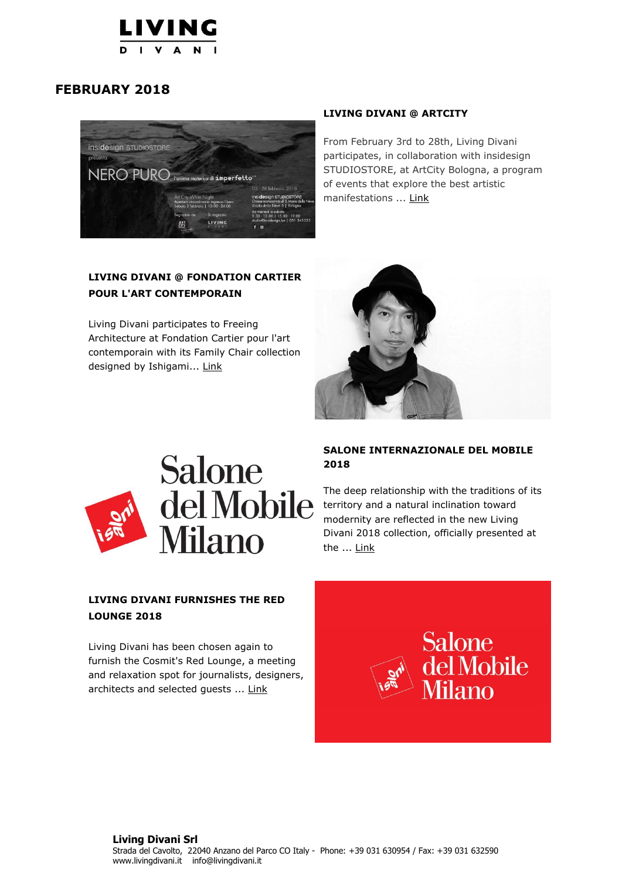

## **FEBRUARY 2018**



## **LIVING DIVANI @ FONDATION CARTIER POUR L'ART CONTEMPORAIN**

Living Divani participates to Freeing Architecture at Fondation Cartier pour l'art contemporain with its Family Chair collection designed by Ishigami... [Link](https://livingdivani.it/en/communication/agenda/2018/living-divani-fondation-cartier-pour-l-art-contemporain/)

### **LIVING DIVANI @ ARTCITY**

From February 3rd to 28th, Living Divani participates, in collaboration with insidesign STUDIOSTORE, at ArtCity Bologna, a program of events that explore the best artistic manifestations ... [Link](https://livingdivani.it/en/communication/agenda/2017/living-divani-artcity/)





## **SALONE INTERNAZIONALE DEL MOBILE 2018**

The deep relationship with the traditions of its territory and a natural inclination toward modernity are reflected in the new Living Divani 2018 collection, officially presented at the ... [Link](https://livingdivani.it/en/communication/agenda/2018/salone-internazionale-del-mobile-2018/)

## **LIVING DIVANI FURNISHES THE RED LOUNGE 2018**

Living Divani has been chosen again to furnish the Cosmit's Red Lounge, a meeting and relaxation spot for journalists, designers, architects and selected guests ... [Link](https://livingdivani.it/en/communication/agenda/2018/living-divani-arreda-la-red-lounge-2018/)